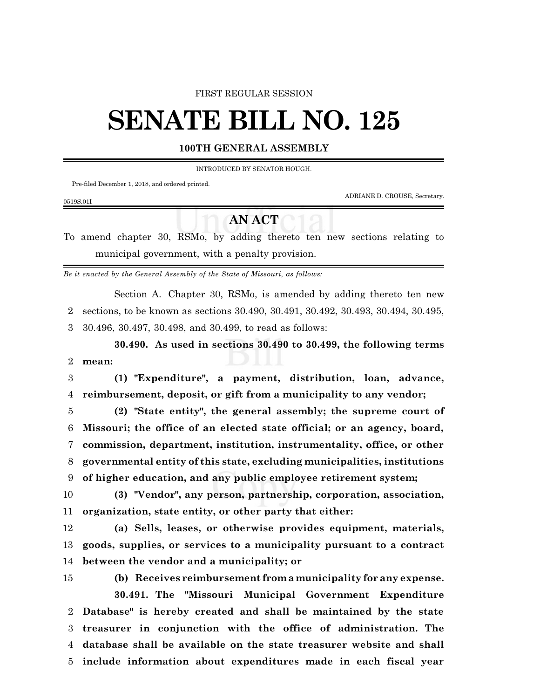#### FIRST REGULAR SESSION

# **SENATE BILL NO. 125**

### **100TH GENERAL ASSEMBLY**

INTRODUCED BY SENATOR HOUGH.

Pre-filed December 1, 2018, and ordered printed.

ADRIANE D. CROUSE, Secretary.

0519S.01I

## **AN ACT**

To amend chapter 30, RSMo, by adding thereto ten new sections relating to municipal government, with a penalty provision.

*Be it enacted by the General Assembly of the State of Missouri, as follows:*

Section A. Chapter 30, RSMo, is amended by adding thereto ten new

2 sections, to be known as sections 30.490, 30.491, 30.492, 30.493, 30.494, 30.495, 3 30.496, 30.497, 30.498, and 30.499, to read as follows:

**30.490. As used in sections 30.490 to 30.499, the following terms** 2 **mean:**

3 **(1) "Expenditure", a payment, distribution, loan, advance,** 4 **reimbursement, deposit, or gift from a municipality to any vendor;**

 **(2) "State entity", the general assembly; the supreme court of Missouri; the office of an elected state official; or an agency, board, commission, department, institution, instrumentality, office, or other governmental entity of this state, excluding municipalities, institutions of higher education, and any public employee retirement system;**

10 **(3) "Vendor", any person, partnership, corporation, association,** 11 **organization, state entity, or other party that either:**

12 **(a) Sells, leases, or otherwise provides equipment, materials,** 13 **goods, supplies, or services to a municipality pursuant to a contract** 14 **between the vendor and a municipality; or**

 **(b) Receives reimbursement from a municipality for any expense. 30.491. The "Missouri Municipal Government Expenditure Database" is hereby created and shall be maintained by the state treasurer in conjunction with the office of administration. The database shall be available on the state treasurer website and shall**

5 **include information about expenditures made in each fiscal year**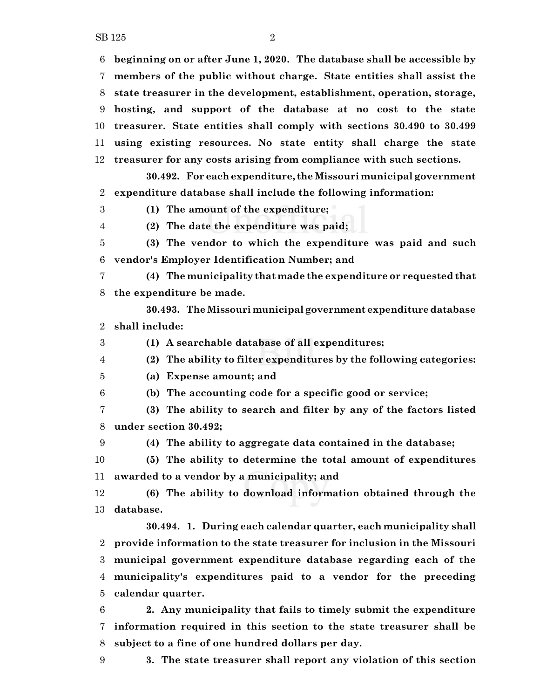**beginning on or after June 1, 2020. The database shall be accessible by**

 **members of the public without charge. State entities shall assist the state treasurer in the development, establishment, operation, storage,**

**hosting, and support of the database at no cost to the state**

**treasurer. State entities shall comply with sections 30.490 to 30.499**

**using existing resources. No state entity shall charge the state**

**treasurer for any costs arising from compliance with such sections.**

**30.492. For eachexpenditure, the Missouri municipal government expenditure database shall include the following information:**

**(1) The amount of the expenditure;**

**(2) The date the expenditure was paid;**

 **(3) The vendor to which the expenditure was paid and such vendor's Employer Identification Number; and**

 **(4) The municipality that made the expenditure or requested that the expenditure be made.**

**30.493. The Missouri municipal government expenditure database shall include:**

**(1) A searchable database of all expenditures;**

**(2) The ability to filter expenditures by the following categories:**

**(a) Expense amount; and**

**(b) The accounting code for a specific good or service;**

 **(3) The ability to search and filter by any of the factors listed under section 30.492;**

**(4) The ability to aggregate data contained in the database;**

 **(5) The ability to determine the total amount of expenditures awarded to a vendor by a municipality; and**

 **(6) The ability to download information obtained through the database.**

**30.494. 1. During each calendar quarter, each municipality shall provide information to the state treasurer for inclusion in the Missouri municipal government expenditure database regarding each of the municipality's expenditures paid to a vendor for the preceding calendar quarter.**

 **2. Any municipality that fails to timely submit the expenditure information required in this section to the state treasurer shall be subject to a fine of one hundred dollars per day.**

**3. The state treasurer shall report any violation of this section**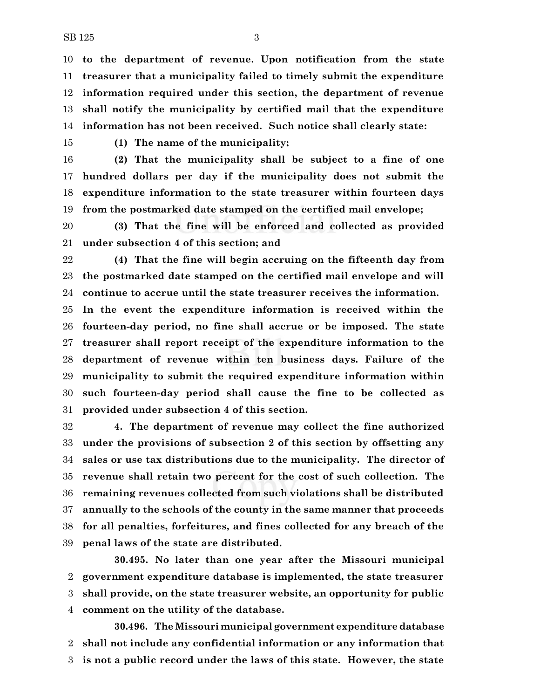**to the department of revenue. Upon notification from the state treasurer that a municipality failed to timely submit the expenditure information required under this section, the department of revenue shall notify the municipality by certified mail that the expenditure information has not been received. Such notice shall clearly state:**

**(1) The name of the municipality;**

 **(2) That the municipality shall be subject to a fine of one hundred dollars per day if the municipality does not submit the expenditure information to the state treasurer within fourteen days from the postmarked date stamped on the certified mail envelope;**

 **(3) That the fine will be enforced and collected as provided under subsection 4 of this section; and**

 **(4) That the fine will begin accruing on the fifteenth day from the postmarked date stamped on the certified mail envelope and will continue to accrue until the state treasurer receives the information.**

 **In the event the expenditure information is received within the fourteen-day period, no fine shall accrue or be imposed. The state treasurer shall report receipt of the expenditure information to the department of revenue within ten business days. Failure of the municipality to submit the required expenditure information within such fourteen-day period shall cause the fine to be collected as provided under subsection 4 of this section.**

 **4. The department of revenue may collect the fine authorized under the provisions of subsection 2 of this section by offsetting any sales or use tax distributions due to the municipality. The director of revenue shall retain two percent for the cost of such collection. The remaining revenues collected from such violations shall be distributed annually to the schools of the county in the same manner that proceeds for all penalties, forfeitures, and fines collected for any breach of the penal laws of the state are distributed.**

**30.495. No later than one year after the Missouri municipal government expenditure database is implemented, the state treasurer shall provide, on the state treasurer website, an opportunity for public comment on the utility of the database.**

**30.496. The Missouri municipal government expenditure database shall not include any confidential information or any information that is not a public record under the laws of this state. However, the state**